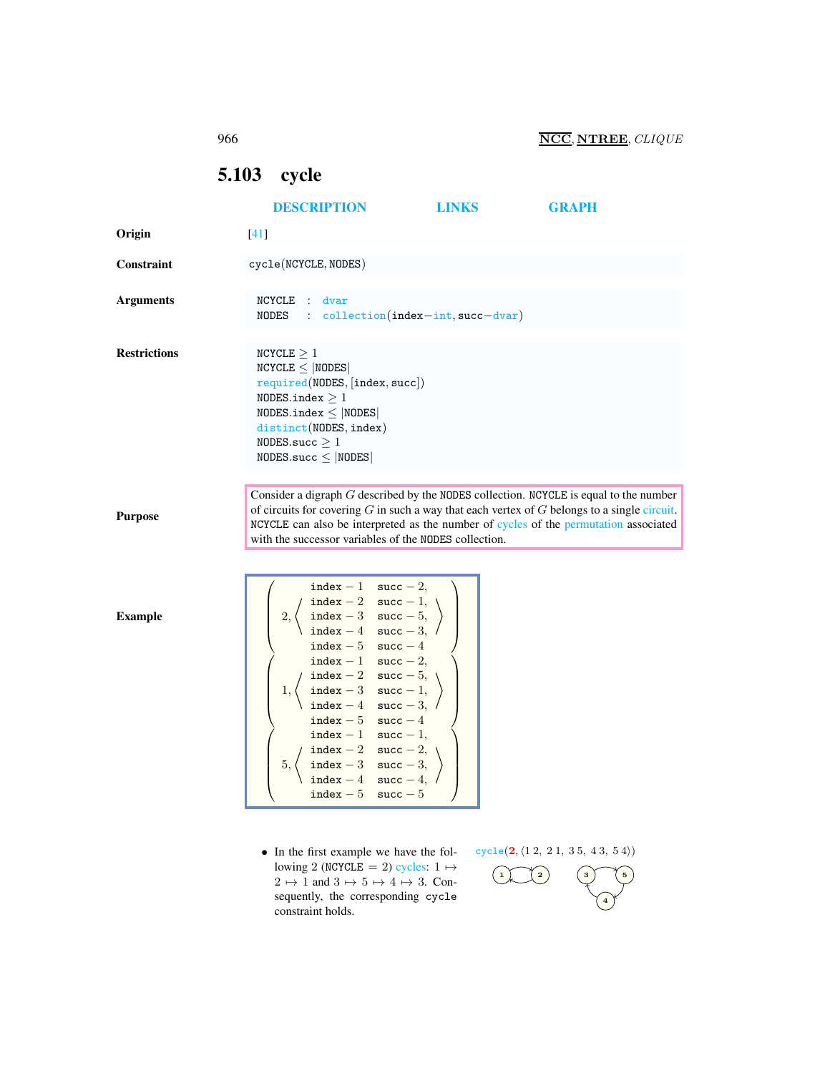# <span id="page-0-1"></span><span id="page-0-0"></span>5.103 cycle

|                     | <b>DESCRIPTION</b>                                                                                                                                                                                                                                                                                                                                                                                                                                                                             | <b>LINKS</b>                           | <b>GRAPH</b>                                |
|---------------------|------------------------------------------------------------------------------------------------------------------------------------------------------------------------------------------------------------------------------------------------------------------------------------------------------------------------------------------------------------------------------------------------------------------------------------------------------------------------------------------------|----------------------------------------|---------------------------------------------|
| Origin              | $[41]$                                                                                                                                                                                                                                                                                                                                                                                                                                                                                         |                                        |                                             |
| Constraint          | cycle(NCYCLE, NODES)                                                                                                                                                                                                                                                                                                                                                                                                                                                                           |                                        |                                             |
| <b>Arguments</b>    | NCYCLE :<br>dvar<br>NODES                                                                                                                                                                                                                                                                                                                                                                                                                                                                      | $: $ collection (index-int, succ-dvar) |                                             |
| <b>Restrictions</b> | NCYCLE $\geq 1$<br>$NCYCLE \leq  NODES $<br>required(NDDES, [index, succ])<br>NODES.index $>1$<br>$NODES.index \leq  NODES $<br>distinct(NODES, index)<br>NODES.succ $\geq 1$<br>$NODES.size \leq  NODES $                                                                                                                                                                                                                                                                                     |                                        |                                             |
| <b>Purpose</b>      | Consider a digraph $G$ described by the NODES collection. NCYCLE is equal to the number<br>of circuits for covering $G$ in such a way that each vertex of $G$ belongs to a single circuit.<br>NCYCLE can also be interpreted as the number of cycles of the permutation associated<br>with the successor variables of the NODES collection.                                                                                                                                                    |                                        |                                             |
| <b>Example</b>      | index - 1 succ - 2,<br>$\begin{tabular}{ll} \bf index-2 & \tt succ-1, \\ \bf index-3 & \tt succ-5, \end{tabular}$<br>2,<br>index $-4$ succ $-3$ ,<br>index $-5$ succ $-4$<br>index - 1 succ - 2,<br>$index - 2$ succ - 5,<br>index $-3$ succ $-1$ ,<br>1,<br>index $-4$ succ $-3$ , /<br>index $-5$ succ $-4$<br>index $-1$ succ $-1$ ,<br>$\begin{tabular}{ll} \bf index-2 & \tt succ-2, \\ \bf index-3 & \tt succ-3, \end{tabular}$<br>5,<br>index $-4$<br>$succ-4$<br>$index-5$<br>$succ-5$ |                                        |                                             |
|                     | • In the first example we have the fol-<br>lowing 2 (NCYCLE = 2) cycles: $1 \mapsto$                                                                                                                                                                                                                                                                                                                                                                                                           |                                        | cycle(2, (12, 21, 35, 43, 54))<br>$\star$ . |

lowing 2 (NCYCLE = 2) cycles:  $1 \mapsto$  $2 \mapsto 1$  and  $3 \mapsto 5 \mapsto 4 \mapsto 3$ . Consequently, the corresponding cycle constraint holds.



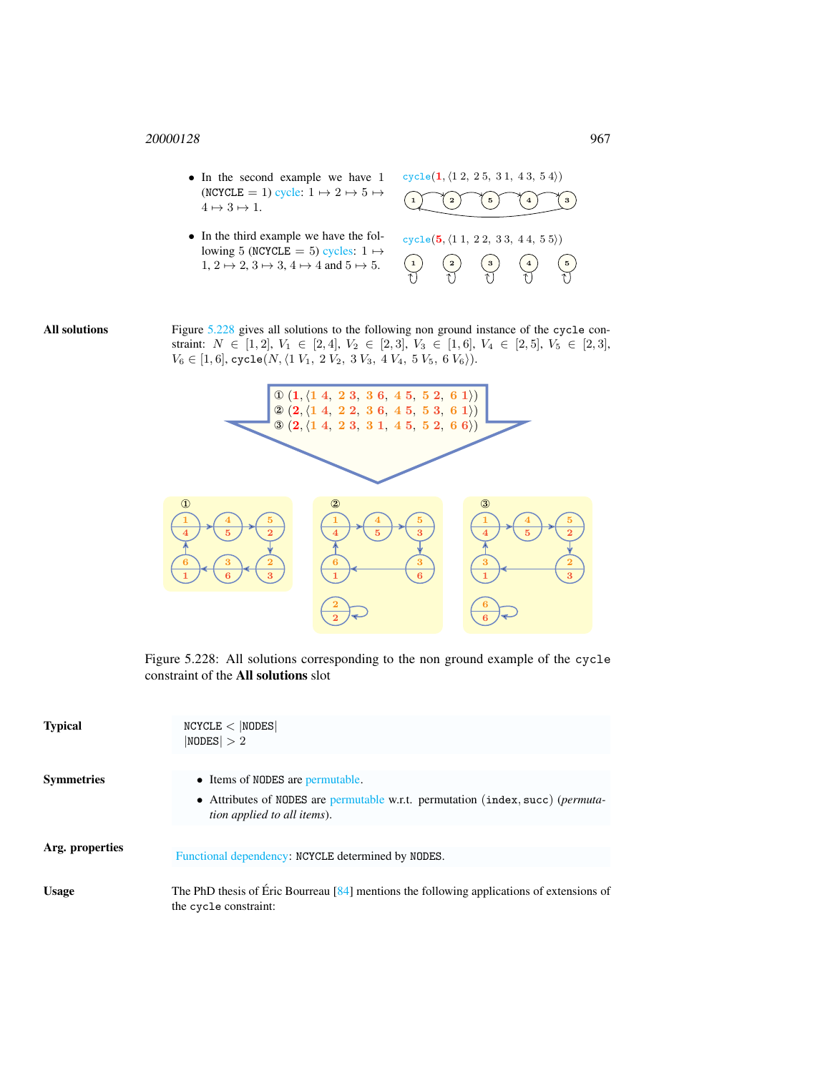- In the second example we have 1 (NCYCLE = 1) cycle:  $1 \mapsto 2 \mapsto 5 \mapsto$  $4 \mapsto 3 \mapsto 1$ .
- In the third example we have the following 5 (NCYCLE = 5) cycles:  $1 \mapsto$  $1, 2 \mapsto 2, 3 \mapsto 3, 4 \mapsto 4$  and  $5 \mapsto 5$ .





All solutions Figure [5.228](#page-1-0) gives all solutions to the following non ground instance of the cycle constraint:  $N \in [1, 2], V_1 \in [2, 4], V_2 \in [2, 3], V_3 \in [1, 6], V_4 \in [2, 5], V_5 \in [2, 3],$  $V_6 \in [1, 6]$ , cycle $(N, \langle 1 V_1, 2 V_2, 3 V_3, 4 V_4, 5 V_5, 6 V_6 \rangle).$ 



<span id="page-1-0"></span>Figure 5.228: All solutions corresponding to the non ground example of the cycle constraint of the All solutions slot

| <b>Typical</b>    | NCYCLE <  NODES <br> NODES  > 2                                                                                                |
|-------------------|--------------------------------------------------------------------------------------------------------------------------------|
| <b>Symmetries</b> | • Items of NODES are permutable.                                                                                               |
|                   | • Attributes of NODES are permutable w.r.t. permutation (index, succ) ( <i>permuta</i> -<br><i>tion applied to all items).</i> |
| Arg. properties   | Functional dependency: NCYCLE determined by NODES.                                                                             |
| <b>Usage</b>      | The PhD thesis of Éric Bourreau $[84]$ mentions the following applications of extensions of<br>the cycle constraint:           |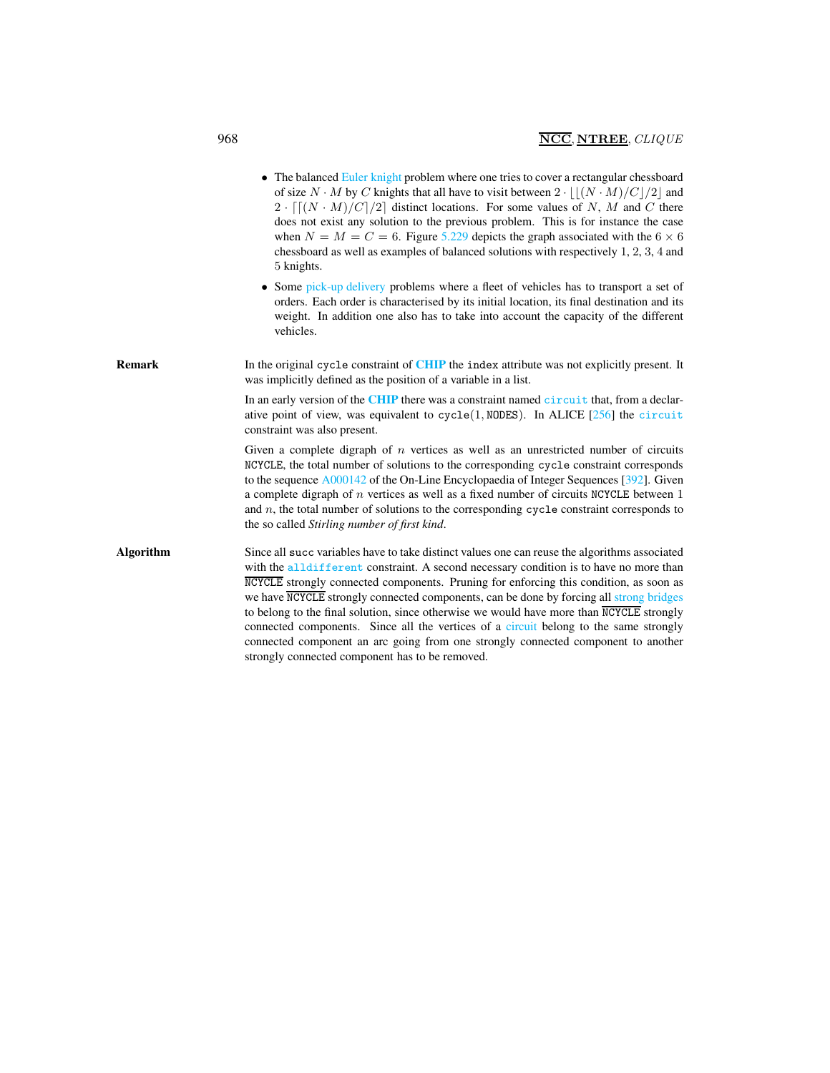|                  | • The balanced Euler knight problem where one tries to cover a rectangular chessboard<br>of size $N \cdot M$ by C knights that all have to visit between $2 \cdot   (N \cdot M)/C /2 $ and<br>$2 \cdot \lfloor (N \cdot M)/C \rfloor /2 \rfloor$ distinct locations. For some values of N, M and C there<br>does not exist any solution to the previous problem. This is for instance the case<br>when $N = M = C = 6$ . Figure 5.229 depicts the graph associated with the 6 $\times$ 6<br>chessboard as well as examples of balanced solutions with respectively 1, 2, 3, 4 and<br>5 knights.<br>• Some pick-up delivery problems where a fleet of vehicles has to transport a set of<br>orders. Each order is characterised by its initial location, its final destination and its |
|------------------|---------------------------------------------------------------------------------------------------------------------------------------------------------------------------------------------------------------------------------------------------------------------------------------------------------------------------------------------------------------------------------------------------------------------------------------------------------------------------------------------------------------------------------------------------------------------------------------------------------------------------------------------------------------------------------------------------------------------------------------------------------------------------------------|
|                  | weight. In addition one also has to take into account the capacity of the different<br>vehicles.                                                                                                                                                                                                                                                                                                                                                                                                                                                                                                                                                                                                                                                                                      |
| <b>Remark</b>    | In the original cycle constraint of CHIP the index attribute was not explicitly present. It<br>was implicitly defined as the position of a variable in a list.                                                                                                                                                                                                                                                                                                                                                                                                                                                                                                                                                                                                                        |
|                  | In an early version of the CHIP there was a constraint named circuit that, from a declar-<br>ative point of view, was equivalent to cycle(1, NODES). In ALICE [256] the circuit<br>constraint was also present.                                                                                                                                                                                                                                                                                                                                                                                                                                                                                                                                                                       |
|                  | Given a complete digraph of $n$ vertices as well as an unrestricted number of circuits<br>NCYCLE, the total number of solutions to the corresponding cycle constraint corresponds<br>to the sequence $A000142$ of the On-Line Encyclopaedia of Integer Sequences [392]. Given<br>a complete digraph of $n$ vertices as well as a fixed number of circuits NCYCLE between $1$<br>and $n$ , the total number of solutions to the corresponding cycle constraint corresponds to<br>the so called <i>Stirling number of first kind</i> .                                                                                                                                                                                                                                                  |
| <b>Algorithm</b> | Since all succ variables have to take distinct values one can reuse the algorithms associated<br>with the alldifferent constraint. A second necessary condition is to have no more than<br>NCYCLE strongly connected components. Pruning for enforcing this condition, as soon as<br>we have NCYCLE strongly connected components, can be done by forcing all strong bridges<br>to belong to the final solution, since otherwise we would have more than $\overline{\text{NCYCLE}}$ strongly<br>connected components. Since all the vertices of a circuit belong to the same strongly<br>connected component an arc going from one strongly connected component to another<br>strongly connected component has to be removed.                                                         |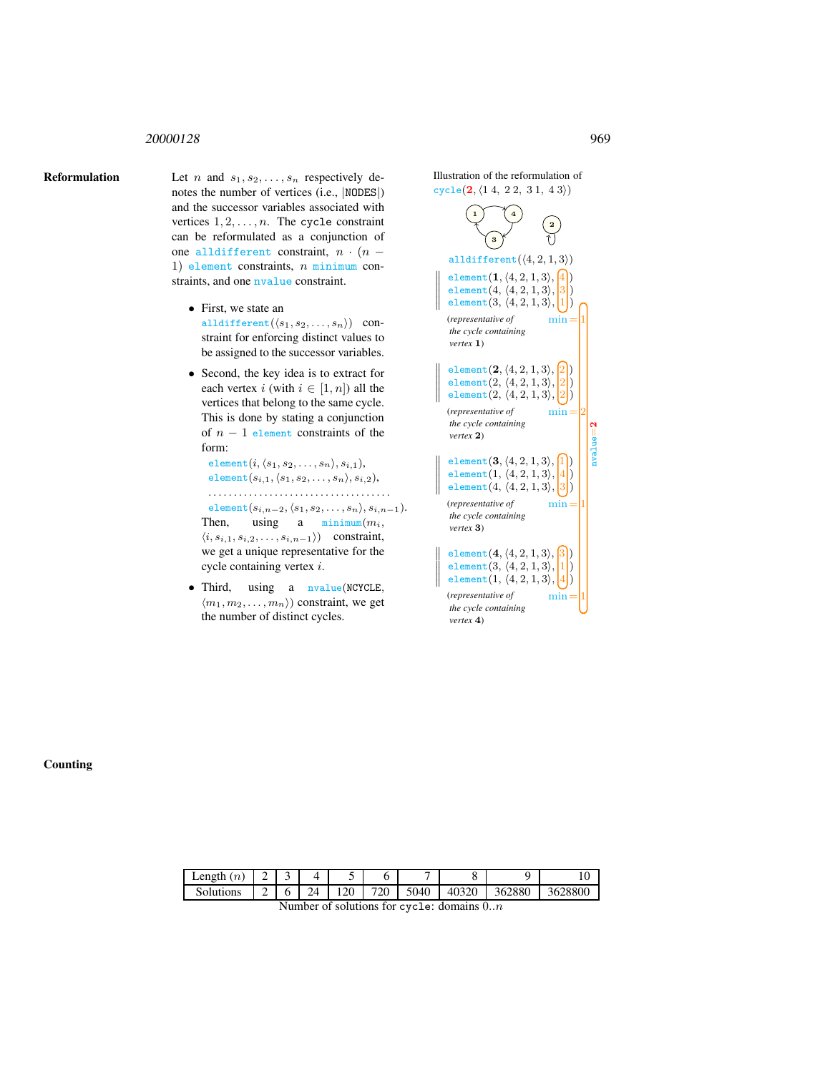**Reformulation** Let n and  $s_1, s_2, \ldots, s_n$  respectively denotes the number of vertices (i.e., |NODES|) and the successor variables associated with vertices  $1, 2, \ldots, n$ . The cycle constraint can be reformulated as a conjunction of one alldifferent constraint,  $n \cdot (n -$ 1) element constraints,  $n$  minimum constraints, and one nvalue constraint.

- First, we state an alldifferent $(\langle s_1, s_2, \ldots, s_n \rangle)$  constraint for enforcing distinct values to be assigned to the successor variables.
- Second, the key idea is to extract for each vertex i (with  $i \in [1, n]$ ) all the vertices that belong to the same cycle. This is done by stating a conjunction of  $n - 1$  element constraints of the form:

```
element(i, \langle s_1, s_2, \ldots, s_n \rangle, s_{i,1}),element(s_{i,1}, \langle s_1, s_2, \ldots, s_n \rangle, s_{i,2}),. . . . . . . . . . . . . . . . . . . . . . . . . . . . . . . . . . . .
 element(s_{i,n-2}, \langle s_1, s_2, \ldots, s_n \rangle, s_{i,n-1}).Then, using a minimum(m_i,
```
 $\langle i, s_{i,1}, s_{i,2}, \ldots, s_{i,n-1}\rangle$  constraint, we get a unique representative for the cycle containing vertex i.

• Third, using a nvalue(NCYCLE,  $\langle m_1, m_2, \ldots, m_n \rangle$  constraint, we get the number of distinct cycles.

1 1 4 3 2 Illustration of the reformulation of  $cycle(2, (1 4, 2 2, 3 1, 4 3))$  $cycle(2, (1 4, 2 2, 3 1, 4 3))$ alldifferent $(\langle 4, 2, 1, 3 \rangle)$  $\parallel$  $\mathbb{I}$  $\mathbb{H}$  $\mathbb{I}$  $\mathbb{I}$  $\frac{1}{2}$ element $(1, \langle 4, 2, 1, 3 \rangle, \boxed{4})$ element $(4, \langle 4, 2, 1, 3 \rangle, |3|)$ element $(3, \langle 4, 2, 1, 3 \rangle, |1|)$ (*representative of* min= 1 *the cycle containing vertex* 1)  $\parallel$  $\mathbb{I}$  $\mathbb{I}$  $\mathbb{I}$  $\parallel$  $\frac{1}{2}$ element $(2, \langle 4, 2, 1, 3 \rangle, [2])$ element $(2, (4, 2, 1, 3), |2|)$ element $(2, \langle 4, 2, 1, 3 \rangle, |2|)$ (*representative of* min= 2 *the cycle containing vertex* 2)  $\parallel$  $\parallel$  $\mathbb{I}$  $\mathbb{I}$  $\frac{1}{2}$ element $(3, \langle 4, 2, 1, 3 \rangle,$ element $(1, \langle 4, 2, 1, 3 \rangle,$ element $(4, (4, 2, 1, 3), |3|)$ (*representative of* min= 1 *the cycle containing vertex* 3)  $\mathbb{I}$  $\mathbb{I}$  $\mathbb{I}$  $\mathbb{H}$  $\mathbf{I}$  $element(4, (4, 2, 1, 3), \boxed{3})$ element $(3, (4, 2, 1, 3), |1|)$ element $(1, \langle 4, 2, 1, 3 \rangle, |4|)$ (*representative of* min= 1

> *the cycle containing vertex* 4)

Counting

| ∟ength<br>$(n_{\rm s})$ | ∼      | -<br>٠ |    |               |     | -    | o                    |        | $\sim$<br>՝ ∪ |
|-------------------------|--------|--------|----|---------------|-----|------|----------------------|--------|---------------|
| Solutions               | ∼<br>∽ |        | 1Δ | $\Omega$<br>⊷ | 720 | 5040 | 40320<br>∪∠י<br>rv., | 362880 | 628800<br>36. |

Number of solutions for cycle: domains  $0..n$ 

nvalue  $\frac{2}{1}$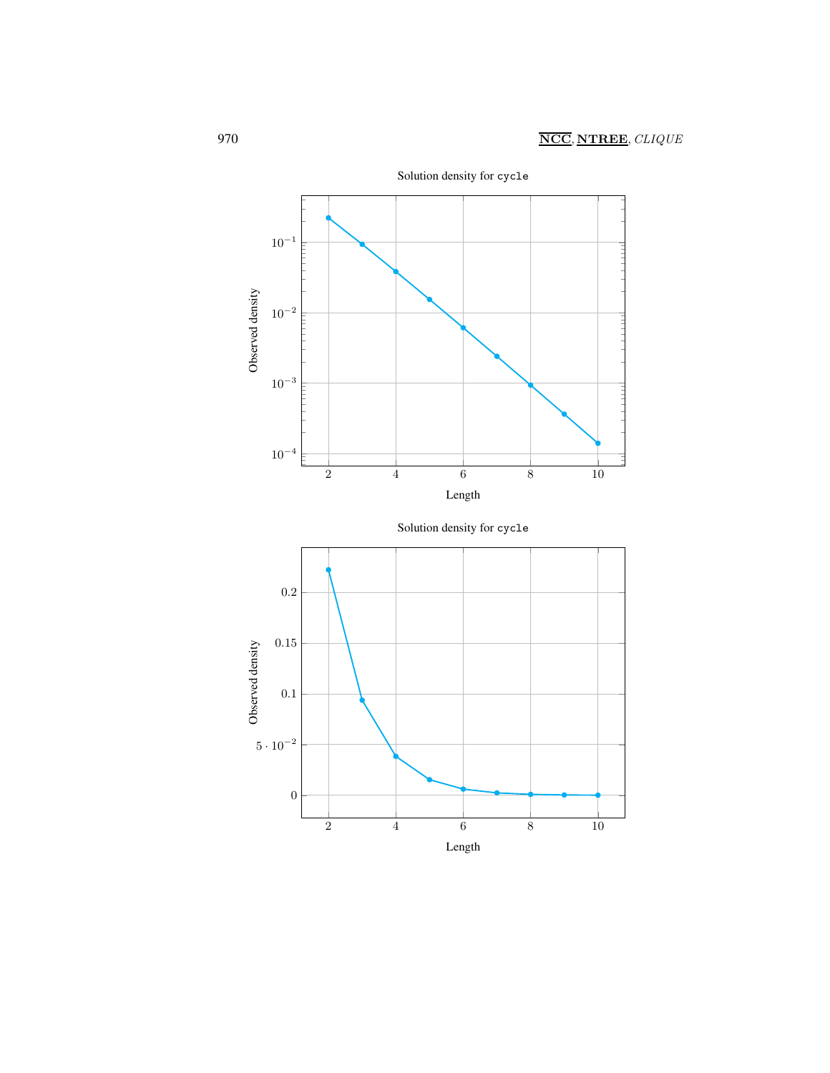

2 4 6 8 10

Length

Solution density for cycle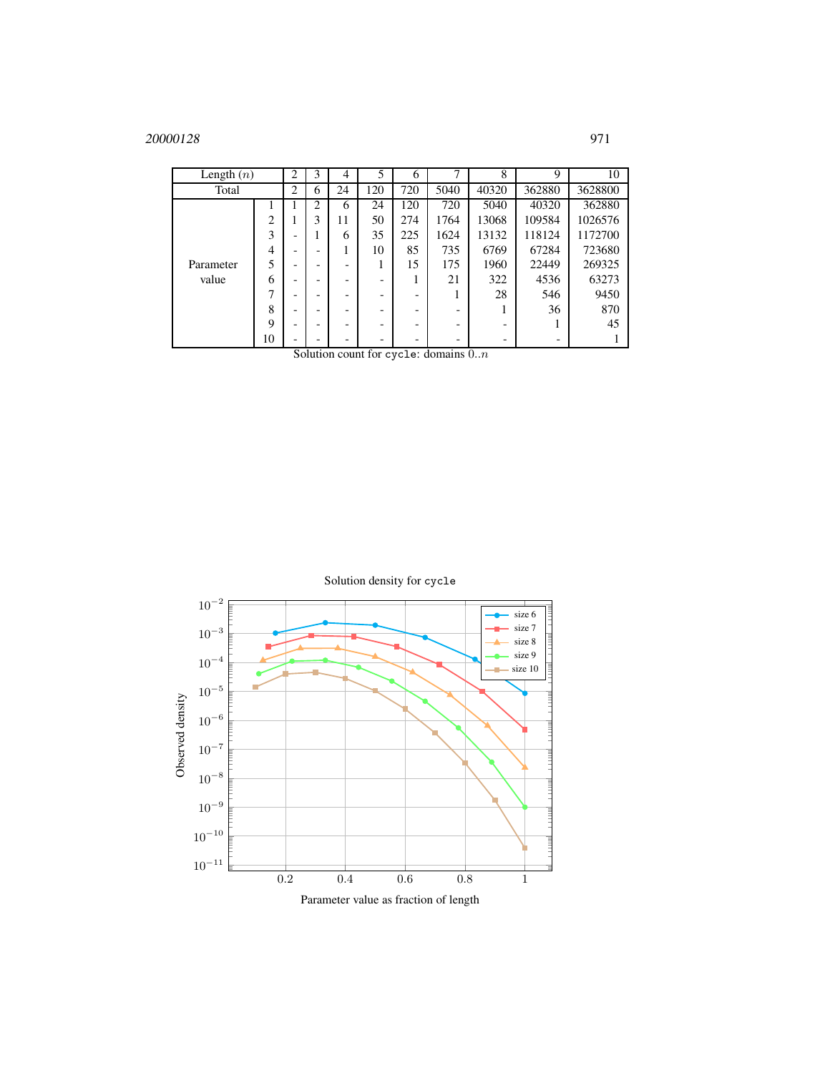| Length $(n)$ |    | 2 | 3                    | 4  | 5           | 6   | $\mathbf{r}$ | 8     | 9      | 10      |
|--------------|----|---|----------------------|----|-------------|-----|--------------|-------|--------|---------|
| Total        |    | 2 | 6                    | 24 | 120         | 720 | 5040         | 40320 | 362880 | 3628800 |
|              |    |   | 2                    | 6  | 24          | 120 | 720          | 5040  | 40320  | 362880  |
|              | 2  | ı | 3                    | 11 | 50          | 274 | 1764         | 13068 | 109584 | 1026576 |
|              | 3  | - |                      | 6  | 35          | 225 | 1624         | 13132 | 118124 | 1172700 |
|              | 4  | - |                      |    | 10          | 85  | 735          | 6769  | 67284  | 723680  |
| Parameter    | 5  | - |                      |    | ı           | 15  | 175          | 1960  | 22449  | 269325  |
| value        | 6  | - |                      |    | -           |     | 21           | 322   | 4536   | 63273   |
|              | 7  | - |                      |    | -           |     |              | 28    | 546    | 9450    |
|              | 8  | - |                      |    | -           |     |              |       | 36     | 870     |
|              | 9  | - |                      |    | -           |     |              | -     |        | 45      |
|              | 10 | - | $\sim$ $\sim$ $\sim$ |    | -<br>$\sim$ |     | $\mathbf{r}$ | -     |        |         |

Solution count for cycle: domains 0..n

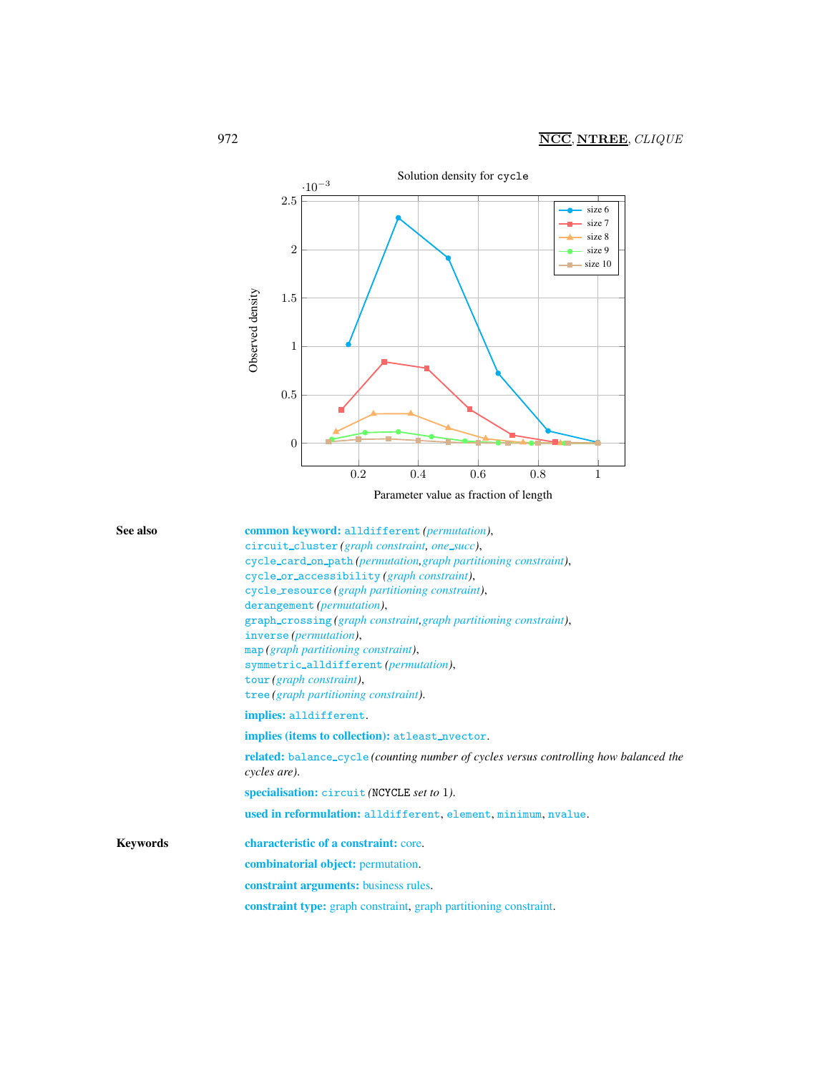

<span id="page-6-0"></span>

| See also | common keyword: alldifferent (permutation),                                                                         |
|----------|---------------------------------------------------------------------------------------------------------------------|
|          | circuit_cluster(graph constraint, one_succ),                                                                        |
|          | cycle_card_on_path(permutation, graph partitioning constraint),                                                     |
|          | cycle_or_accessibility (graph constraint),                                                                          |
|          | cycle_resource (graph partitioning constraint),                                                                     |
|          | derangement ( <i>permutation</i> ),                                                                                 |
|          | graph_crossing(graph constraint, graph partitioning constraint),                                                    |
|          | inverse ( <i>permutation</i> ),                                                                                     |
|          | map (graph partitioning constraint),                                                                                |
|          | symmetric_alldifferent(permutation),                                                                                |
|          | tour (graph constraint),                                                                                            |
|          | tree (graph partitioning constraint).                                                                               |
|          | implies: alldifferent.                                                                                              |
|          | implies (items to collection): at least_nvector.                                                                    |
|          | <b>related:</b> balance_cycle( <i>counting number of cycles versus controlling how balanced the</i><br>cycles are). |

specialisation: circuit *(*NCYCLE *set to* 1*)*.

used in reformulation: alldifferent, element, minimum, nvalue.

Keywords characteristic of a constraint: core. combinatorial object: permutation. constraint arguments: business rules.

constraint type: graph constraint, graph partitioning constraint.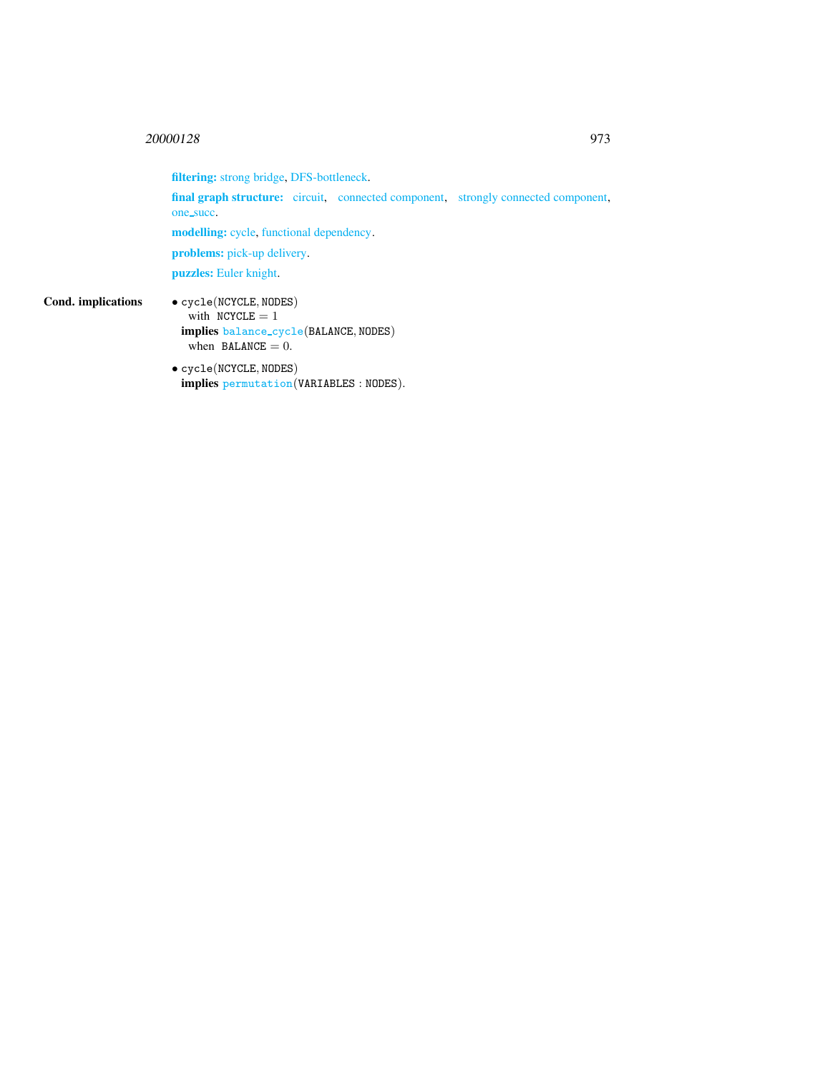filtering: strong bridge, DFS-bottleneck.

final graph structure: circuit, connected component, strongly connected component, one\_succ.

modelling: cycle, functional dependency.

problems: pick-up delivery.

puzzles: Euler knight.

Cond. implications • cycle(NCYCLE, NODES) with  $NCYCLE = 1$ implies balance cycle(BALANCE, NODES) when  $BALANCE = 0$ .

> • cycle(NCYCLE, NODES) implies permutation(VARIABLES : NODES).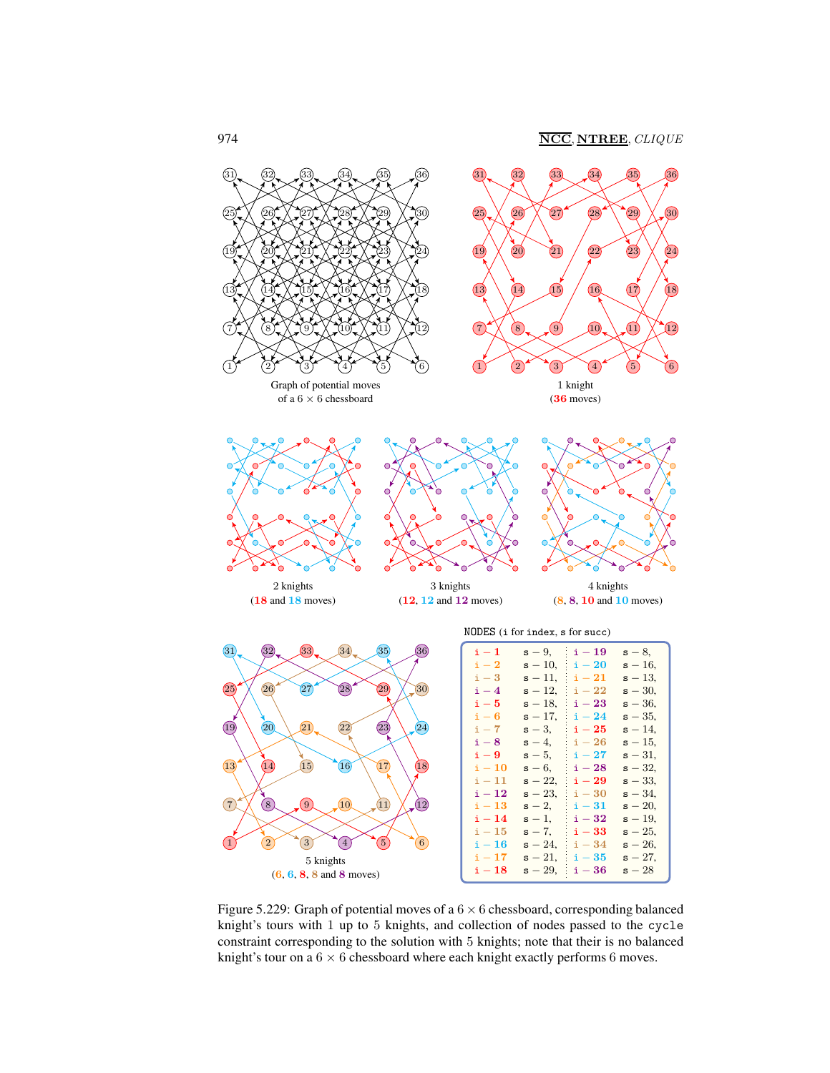

<span id="page-8-0"></span>Figure 5.229: Graph of potential moves of a  $6 \times 6$  chessboard, corresponding balanced knight's tours with 1 up to 5 knights, and collection of nodes passed to the cycle constraint corresponding to the solution with 5 knights; note that their is no balanced knight's tour on a  $6 \times 6$  chessboard where each knight exactly performs 6 moves.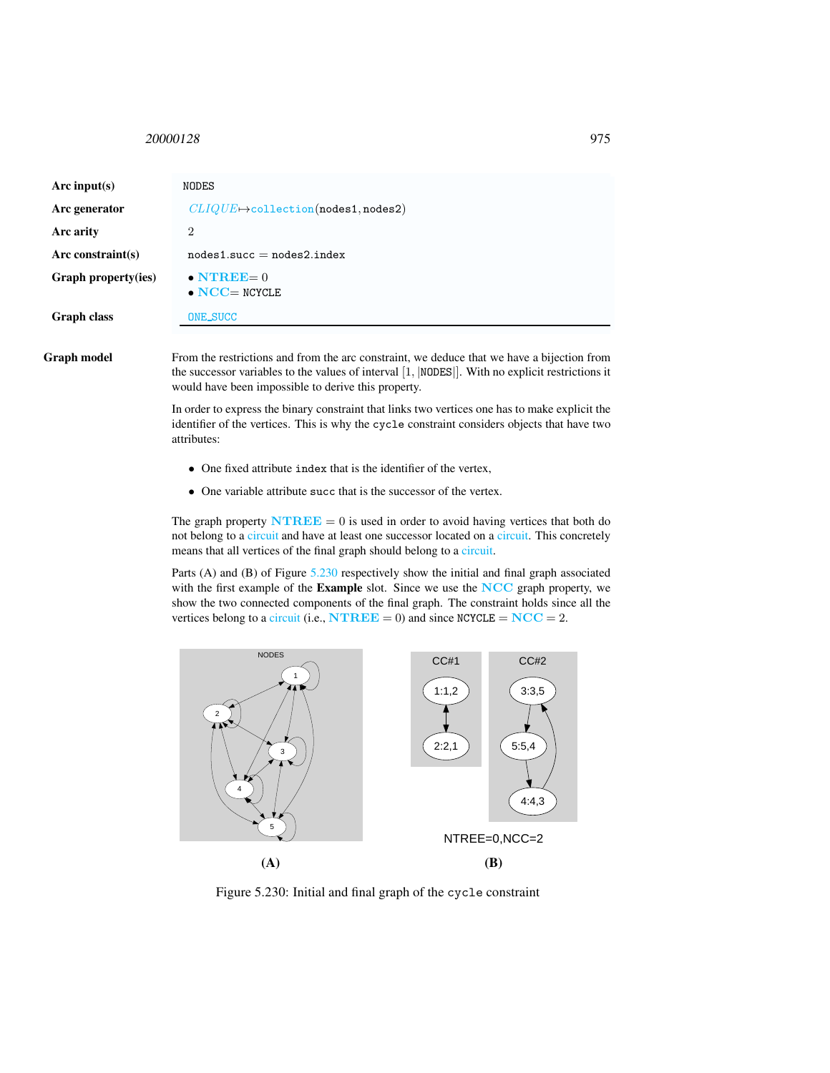<span id="page-9-0"></span>

| Arc input(s)         | NODES                                              |
|----------------------|----------------------------------------------------|
| Arc generator        | $CLIQUE \rightarrow collection (nodes 1, nodes 2)$ |
| Arc arity            | $\overline{2}$                                     |
| Arc constraint $(s)$ | $nodes1.succ = nodes2.index$                       |
| Graph property(ies)  | $\bullet$ NTREE= $0$<br>$\bullet$ NCC= NCYCLE      |
| <b>Graph class</b>   | ONE_SUCC                                           |

Graph model From the restrictions and from the arc constraint, we deduce that we have a bijection from the successor variables to the values of interval [1, |NODES|]. With no explicit restrictions it would have been impossible to derive this property.

> In order to express the binary constraint that links two vertices one has to make explicit the identifier of the vertices. This is why the cycle constraint considers objects that have two attributes:

- One fixed attribute index that is the identifier of the vertex,
- One variable attribute succ that is the successor of the vertex.

The graph property  $\mathbf{N} \mathbf{T} \mathbf{R} \mathbf{E} = 0$  is used in order to avoid having vertices that both do not belong to a circuit and have at least one successor located on a circuit. This concretely means that all vertices of the final graph should belong to a circuit.

Parts (A) and (B) of Figure [5.230](#page-9-1) respectively show the initial and final graph associated with the first example of the Example slot. Since we use the NCC graph property, we show the two connected components of the final graph. The constraint holds since all the vertices belong to a circuit (i.e.,  $\mathbf{N} \mathbf{T} \mathbf{R} \mathbf{E} \mathbf{E} = 0$ ) and since  $\mathbf{NC} \mathbf{C} \mathbf{E} = \mathbf{N} \mathbf{C} \mathbf{C} = 2$ .



<span id="page-9-1"></span>Figure 5.230: Initial and final graph of the cycle constraint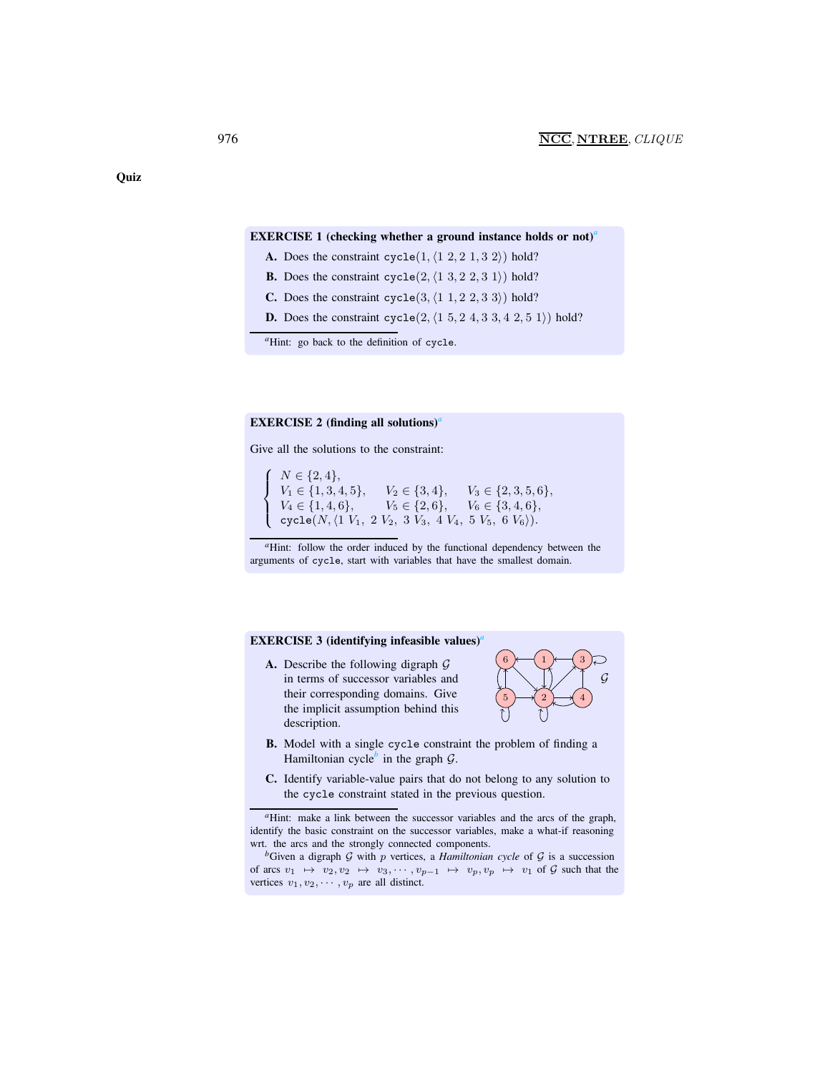#### EXERCISE 1 (checking whether [a](#page-10-0) ground instance holds or not)<sup>*a*</sup>

- A. Does the constraint cycle $(1, (1 \ 2, 2 \ 1, 3 \ 2))$  hold?
- **B.** Does the constraint cycle $(2, \langle 1, 3, 2, 2, 3, 1 \rangle)$  hold?
- C. Does the constraint cycle(3,  $\langle 1\ 1, 2\ 2, 3\ 3 \rangle$ ) hold?
- **D.** Does the constraint cycle $(2, \langle 1, 5, 2, 4, 3, 3, 4, 2, 5, 1 \rangle)$  hold?

*<sup>a</sup>*Hint: go back to the definition of cycle.

### <span id="page-10-0"></span>EXERCISE 2 (finding [a](#page-10-1)ll solutions)<sup>*a*</sup>

Give all the solutions to the constraint:

 $\sqrt{ }$  $\int$  $\overline{\mathcal{L}}$  $N \in \{2, 4\},\$  $V_1 \in \{1, 3, 4, 5\}, \quad V_2 \in \{3, 4\}, \quad V_3 \in \{2, 3, 5, 6\},\$  $V_4 \in \{1, 4, 6\}, \qquad V_5 \in \{2, 6\}, \qquad V_6 \in \{3, 4, 6\},\$  $\texttt{cycle}(N,\langle 1\ V_1,\ 2\ V_2,\ 3\ V_3,\ 4\ V_4,\ 5\ V_5,\ 6\ V_6\rangle).$ 

*<sup>a</sup>*Hint: follow the order induced by the functional dependency between the arguments of cycle, start with variables that have the smallest domain.

#### <span id="page-10-1"></span>EXERCISE 3 (identifying infe[a](#page-10-2)sible values)<sup>*a*</sup>

A. Describe the following digraph G in terms of successor variables and their corresponding domains. Give the implicit assumption behind this description.



- B. Model with a single cycle constraint the problem of finding a Hamiltonian cycle<sup>[b](#page-10-3)</sup> in the graph  $G$ .
- C. Identify variable-value pairs that do not belong to any solution to the cycle constraint stated in the previous question.

**Quiz** 

*<sup>a</sup>*Hint: make a link between the successor variables and the arcs of the graph, identify the basic constraint on the successor variables, make a what-if reasoning wrt. the arcs and the strongly connected components.

<span id="page-10-3"></span><span id="page-10-2"></span> ${}^b$ Given a digraph  $G$  with  $p$  vertices, a *Hamiltonian cycle* of  $G$  is a succession of arcs  $v_1 \mapsto v_2, v_2 \mapsto v_3, \cdots, v_{p-1} \mapsto v_p, v_p \mapsto v_1$  of G such that the vertices  $v_1, v_2, \cdots, v_p$  are all distinct.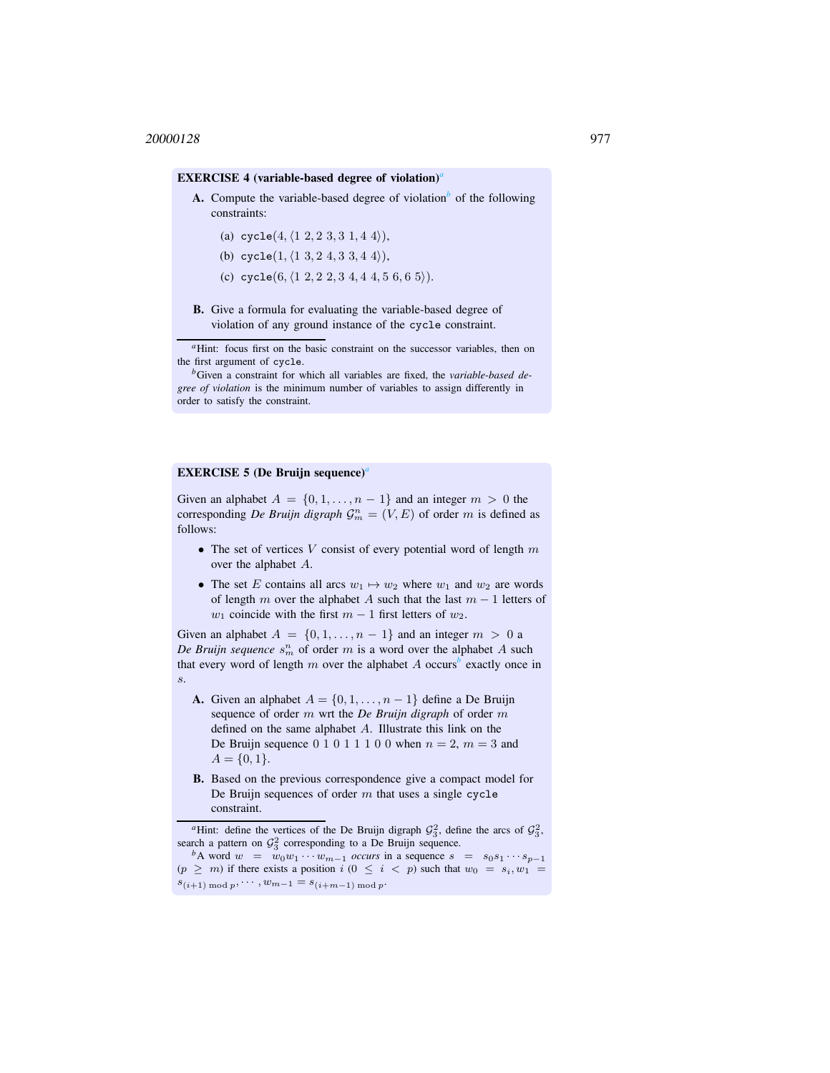#### EXERCISE 4 (v[a](#page-11-0)riable-based degree of violation)<sup>*a*</sup>

- A. Compute the varia[b](#page-11-1)le-based degree of violation<sup>b</sup> of the following constraints:
	- (a) cycle $(4, \langle 1\ 2, 2\ 3, 3\ 1, 4\ 4 \rangle),$
	- (b) cycle(1,  $\langle 1\ 3, 2\ 4, 3\ 3, 4\ 4 \rangle$ ),
	- (c) cycle $(6, (1, 2, 2, 2, 3, 4, 4, 4, 5, 6, 6, 5)).$
- B. Give a formula for evaluating the variable-based degree of violation of any ground instance of the cycle constraint.

<sup>a</sup>Hint: focus first on the basic constraint on the successor variables, then on the first argument of cycle.

*<sup>b</sup>*Given a constraint for which all variables are fixed, the *variable-based degree of violation* is the minimum number of variables to assign differently in order to satisfy the constraint.

# <span id="page-11-0"></span>EXERCISE 5 (De Bruijn sequence)*[a](#page-11-2)*

<span id="page-11-1"></span>Given an alphabet  $A = \{0, 1, \ldots, n-1\}$  and an integer  $m > 0$  the corresponding *De Bruijn digraph*  $\mathcal{G}_m^n = (V, E)$  of order m is defined as follows:

- The set of vertices  $V$  consist of every potential word of length  $m$ over the alphabet A.
- The set E contains all arcs  $w_1 \mapsto w_2$  where  $w_1$  and  $w_2$  are words of length m over the alphabet A such that the last  $m - 1$  letters of  $w_1$  coincide with the first  $m - 1$  first letters of  $w_2$ .

Given an alphabet  $A = \{0, 1, \ldots, n-1\}$  and an integer  $m > 0$  a De Bruijn sequence  $s_m^n$  of order m is a word over the alphabet A such that every word of length  $m$  over the alpha[b](#page-11-3)et  $A$  occurs<sup>b</sup> exactly once in s.

- A. Given an alphabet  $A = \{0, 1, \ldots, n-1\}$  define a De Bruijn sequence of order m wrt the *De Bruijn digraph* of order m defined on the same alphabet A. Illustrate this link on the De Bruijn sequence  $0 \ 1 \ 0 \ 1 \ 1 \ 1 \ 0 \ 0$  when  $n = 2$ ,  $m = 3$  and  $A = \{0, 1\}.$
- B. Based on the previous correspondence give a compact model for De Bruijn sequences of order  $m$  that uses a single cycle constraint.

<sup>&</sup>lt;sup>*a*</sup>Hint: define the vertices of the De Bruijn digraph  $\mathcal{G}_3^2$ , define the arcs of  $\mathcal{G}_3^2$ , search a pattern on  $\mathcal{G}_3^2$  corresponding to a De Bruijn sequence.

<span id="page-11-3"></span><span id="page-11-2"></span>*b*A word  $w = w_0w_1 \cdots w_{m-1}$  *occurs* in a sequence  $s = s_0s_1 \cdots s_{p-1}$  $(p \geq m)$  if there exists a position  $i$   $(0 \leq i \leq p)$  such that  $w_0 = s_i, w_1 =$  $s_{(i+1) \bmod p}, \cdots, w_{m-1} = s_{(i+m-1) \bmod p}.$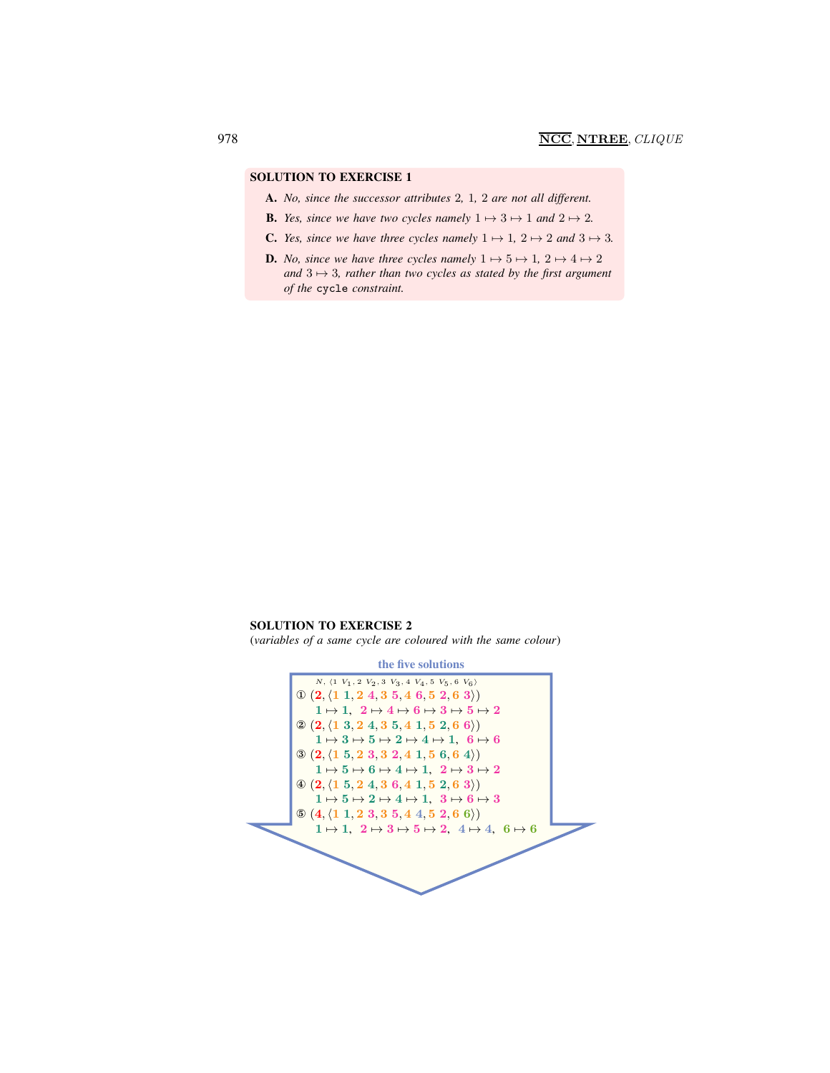- A. *No, since the successor attributes* 2*,* 1*,* 2 *are not all different.*
- **B.** *Yes, since we have two cycles namely*  $1 \mapsto 3 \mapsto 1$  *and*  $2 \mapsto 2$ *.*
- **C.** *Yes, since we have three cycles namely*  $1 \mapsto 1$ ,  $2 \mapsto 2$  *and*  $3 \mapsto 3$ *.*
- **D.** *No, since we have three cycles namely*  $1 \mapsto 5 \mapsto 1$ ,  $2 \mapsto 4 \mapsto 2$ and  $3 \mapsto 3$ *, rather than two cycles as stated by the first argument of the* cycle *constraint.*

SOLUTION TO EXERCISE 2

(*variables of a same cycle are coloured with the same colour*)

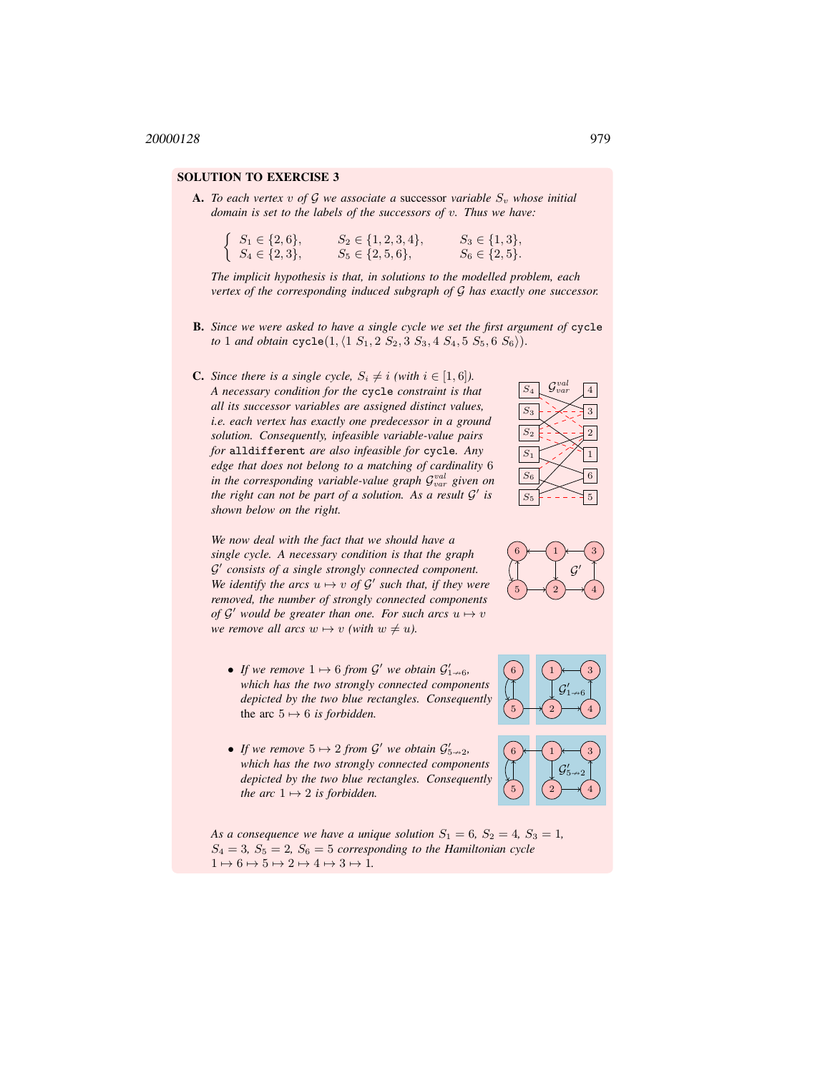**A.** To each vertex v of G we associate a successor variable  $S_v$  whose initial *domain is set to the labels of the successors of* v*. Thus we have:*

| $\int S_1 \in \{2,6\},\$ | $S_2 \in \{1, 2, 3, 4\},\$ | $S_3 \in \{1,3\},\$ |
|--------------------------|----------------------------|---------------------|
| $\{S_4 \in \{2,3\},\}$   | $S_5 \in \{2, 5, 6\},\$    | $S_6 \in \{2, 5\}.$ |

*The implicit hypothesis is that, in solutions to the modelled problem, each vertex of the corresponding induced subgraph of* G *has exactly one successor.*

- B. *Since we were asked to have a single cycle we set the first argument of* cycle *to* 1 *and obtain*  $\text{cycle}(1, \{1 \ S_1, 2 \ S_2, 3 \ S_3, 4 \ S_4, 5 \ S_5, 6 \ S_6)\}.$
- **C.** *Since there is a single cycle,*  $S_i \neq i$  *(with*  $i \in [1, 6]$ *). A necessary condition for the* cycle *constraint is that all its successor variables are assigned distinct values, i.e. each vertex has exactly one predecessor in a ground solution. Consequently, infeasible variable-value pairs for* alldifferent *are also infeasible for* cycle*. Any edge that does not belong to a matching of cardinality* 6 in the corresponding variable-value graph  $\mathcal{G}^{val}_{var}$  given on *the right can not be part of a solution. As a result* G ′ *is shown below on the right.*



3

4  $\mathcal G$ ′



- If we remove  $1 \mapsto 6$  from  $\mathcal{G}'$  we obtain  $\mathcal{G}'_{1 \rightarrow 6}$ , *which has the two strongly connected components depicted by the two blue rectangles. Consequently* the arc  $5 \mapsto 6$  *is forbidden.*
- If we remove  $5 \mapsto 2$  from  $\mathcal{G}'$  we obtain  $\mathcal{G}'_{5\rightarrow 2}$ , *which has the two strongly connected components depicted by the two blue rectangles. Consequently the arc*  $1 \mapsto 2$  *is forbidden.*

*As a consequence we have a unique solution*  $S_1 = 6$ ,  $S_2 = 4$ ,  $S_3 = 1$ ,  $S_4 = 3$ ,  $S_5 = 2$ ,  $S_6 = 5$  *corresponding to the Hamiltonian cycle*  $1 \mapsto 6 \mapsto 5 \mapsto 2 \mapsto 4 \mapsto 3 \mapsto 1.$ 



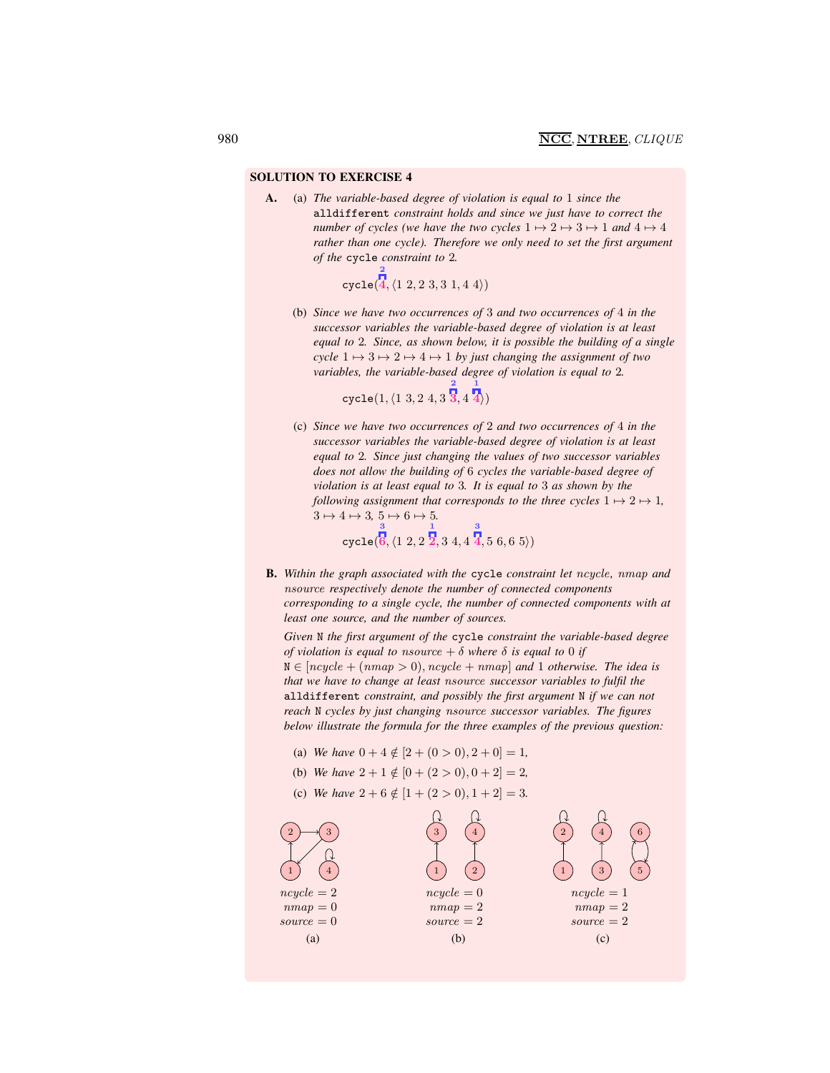A. (a) *The variable-based degree of violation is equal to* 1 *since the* alldifferent *constraint holds and since we just have to correct the number of cycles (we have the two cycles*  $1 \mapsto 2 \mapsto 3 \mapsto 1$  *and*  $4 \mapsto 4$ *rather than one cycle). Therefore we only need to set the first argument of the* cycle *constraint to* 2*.*

> cycle(  $\langle 1\; 2, 2\; 3, 3\; 1, 4\; 4 \rangle$

2

(b) *Since we have two occurrences of* 3 *and two occurrences of* 4 *in the successor variables the variable-based degree of violation is at least equal to* 2*. Since, as shown below, it is possible the building of a single cycle*  $1 \mapsto 3 \mapsto 2 \mapsto 4 \mapsto 1$  *by just changing the assignment of two variables, the variable-based degree of violation is equal to* 2*.*

> $\texttt{cycle}(1,\langle 1\;3, 2\;4, 3\;{\bf \overline{3}}, 4\;4\rangle)$ 2 1

(c) *Since we have two occurrences of* 2 *and two occurrences of* 4 *in the successor variables the variable-based degree of violation is at least equal to* 2*. Since just changing the values of two successor variables does not allow the building of* 6 *cycles the variable-based degree of violation is at least equal to* 3*. It is equal to* 3 *as shown by the following assignment that corresponds to the three cycles*  $1 \mapsto 2 \mapsto 1$ *,*  $3 \mapsto 4 \mapsto 3, 5 \mapsto 6 \mapsto 5.$ 

$$
\text{cycle}(\stackrel{3}{6}, \langle 1 \; 2, 2 \; \stackrel{1}{2}, 3 \; 4, 4 \; \stackrel{3}{4}, 5 \; 6, 6 \; 5 \rangle)
$$

B. *Within the graph associated with the* cycle *constraint let* ncycle*,* nmap *and* nsource *respectively denote the number of connected components corresponding to a single cycle, the number of connected components with at least one source, and the number of sources.*

*Given* N *the first argument of the* cycle *constraint the variable-based degree of violation is equal to nsource*  $+ \delta$  *where*  $\delta$  *is equal to* 0 *if*  $N \in [ncycle + (nmap > 0), ncycle + nmap]$  *and* 1 *otherwise. The idea is that we have to change at least* nsource *successor variables to fulfil the* alldifferent *constraint, and possibly the first argument* N *if we can not reach* N *cycles by just changing* nsource *successor variables. The figures below illustrate the formula for the three examples of the previous question:*

- (a) *We have*  $0 + 4 \notin [2 + (0 > 0), 2 + 0] = 1$ ,
- (b) *We have*  $2 + 1 \notin [0 + (2 > 0), 0 + 2] = 2$ ,
- (c) *We have*  $2 + 6 \notin [1 + (2 > 0), 1 + 2] = 3$ .